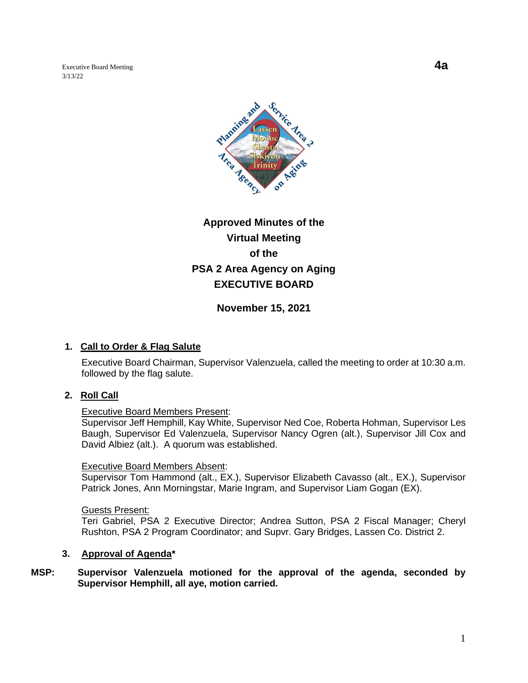Executive Board Meeting **4a** 3/13/22



# **Approved Minutes of the Virtual Meeting of the PSA 2 Area Agency on Aging EXECUTIVE BOARD**

**November 15, 2021**

# **1. Call to Order & Flag Salute**

Executive Board Chairman, Supervisor Valenzuela, called the meeting to order at 10:30 a.m. followed by the flag salute.

# **2. Roll Call**

#### Executive Board Members Present:

Supervisor Jeff Hemphill, Kay White, Supervisor Ned Coe, Roberta Hohman, Supervisor Les Baugh, Supervisor Ed Valenzuela, Supervisor Nancy Ogren (alt.), Supervisor Jill Cox and David Albiez (alt.). A quorum was established.

#### Executive Board Members Absent:

Supervisor Tom Hammond (alt., EX.), Supervisor Elizabeth Cavasso (alt., EX.), Supervisor Patrick Jones, Ann Morningstar, Marie Ingram, and Supervisor Liam Gogan (EX).

Guests Present:

Teri Gabriel, PSA 2 Executive Director; Andrea Sutton, PSA 2 Fiscal Manager; Cheryl Rushton, PSA 2 Program Coordinator; and Supvr. Gary Bridges, Lassen Co. District 2.

#### **3. Approval of Agenda\***

## **MSP: Supervisor Valenzuela motioned for the approval of the agenda, seconded by Supervisor Hemphill, all aye, motion carried.**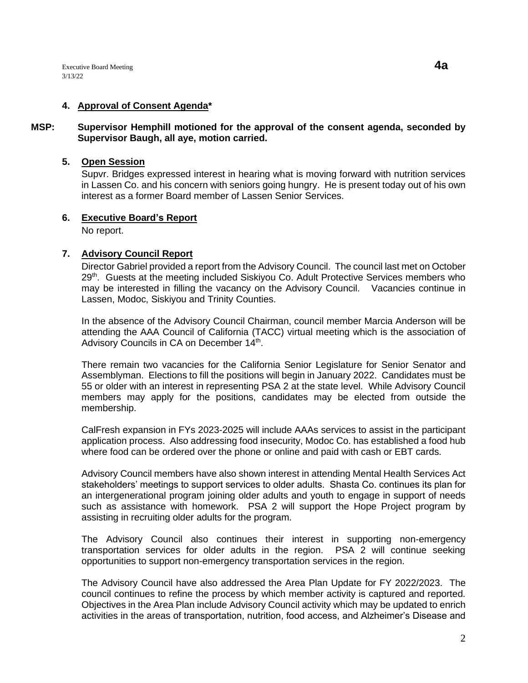# **4. Approval of Consent Agenda\***

## **MSP: Supervisor Hemphill motioned for the approval of the consent agenda, seconded by Supervisor Baugh, all aye, motion carried.**

#### **5. Open Session**

Supvr. Bridges expressed interest in hearing what is moving forward with nutrition services in Lassen Co. and his concern with seniors going hungry. He is present today out of his own interest as a former Board member of Lassen Senior Services.

## **6. Executive Board's Report**

No report.

## **7. Advisory Council Report**

Director Gabriel provided a report from the Advisory Council. The council last met on October 29<sup>th</sup>. Guests at the meeting included Siskiyou Co. Adult Protective Services members who may be interested in filling the vacancy on the Advisory Council. Vacancies continue in Lassen, Modoc, Siskiyou and Trinity Counties.

In the absence of the Advisory Council Chairman, council member Marcia Anderson will be attending the AAA Council of California (TACC) virtual meeting which is the association of Advisory Councils in CA on December 14<sup>th</sup>.

There remain two vacancies for the California Senior Legislature for Senior Senator and Assemblyman. Elections to fill the positions will begin in January 2022. Candidates must be 55 or older with an interest in representing PSA 2 at the state level. While Advisory Council members may apply for the positions, candidates may be elected from outside the membership.

CalFresh expansion in FYs 2023-2025 will include AAAs services to assist in the participant application process. Also addressing food insecurity, Modoc Co. has established a food hub where food can be ordered over the phone or online and paid with cash or EBT cards.

Advisory Council members have also shown interest in attending Mental Health Services Act stakeholders' meetings to support services to older adults. Shasta Co. continues its plan for an intergenerational program joining older adults and youth to engage in support of needs such as assistance with homework. PSA 2 will support the Hope Project program by assisting in recruiting older adults for the program.

The Advisory Council also continues their interest in supporting non-emergency transportation services for older adults in the region. PSA 2 will continue seeking opportunities to support non-emergency transportation services in the region.

The Advisory Council have also addressed the Area Plan Update for FY 2022/2023. The council continues to refine the process by which member activity is captured and reported. Objectives in the Area Plan include Advisory Council activity which may be updated to enrich activities in the areas of transportation, nutrition, food access, and Alzheimer's Disease and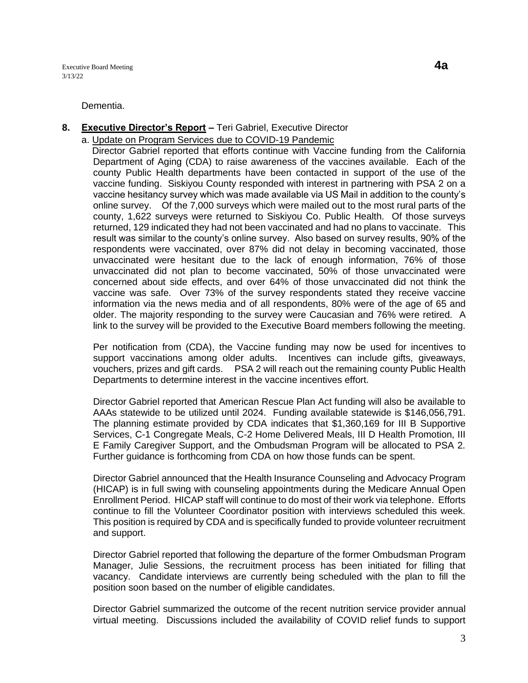Executive Board Meeting **4a** 3/13/22

Dementia.

## **8. Executive Director's Report –** Teri Gabriel, Executive Director

a. Update on Program Services due to COVID-19 Pandemic

 Director Gabriel reported that efforts continue with Vaccine funding from the California Department of Aging (CDA) to raise awareness of the vaccines available. Each of the county Public Health departments have been contacted in support of the use of the vaccine funding. Siskiyou County responded with interest in partnering with PSA 2 on a vaccine hesitancy survey which was made available via US Mail in addition to the county's online survey. Of the 7,000 surveys which were mailed out to the most rural parts of the county, 1,622 surveys were returned to Siskiyou Co. Public Health. Of those surveys returned, 129 indicated they had not been vaccinated and had no plans to vaccinate. This result was similar to the county's online survey. Also based on survey results, 90% of the respondents were vaccinated, over 87% did not delay in becoming vaccinated, those unvaccinated were hesitant due to the lack of enough information, 76% of those unvaccinated did not plan to become vaccinated, 50% of those unvaccinated were concerned about side effects, and over 64% of those unvaccinated did not think the vaccine was safe. Over 73% of the survey respondents stated they receive vaccine information via the news media and of all respondents, 80% were of the age of 65 and older. The majority responding to the survey were Caucasian and 76% were retired. A link to the survey will be provided to the Executive Board members following the meeting.

Per notification from (CDA), the Vaccine funding may now be used for incentives to support vaccinations among older adults. Incentives can include gifts, giveaways, vouchers, prizes and gift cards. PSA 2 will reach out the remaining county Public Health Departments to determine interest in the vaccine incentives effort.

Director Gabriel reported that American Rescue Plan Act funding will also be available to AAAs statewide to be utilized until 2024. Funding available statewide is \$146,056,791. The planning estimate provided by CDA indicates that \$1,360,169 for III B Supportive Services, C-1 Congregate Meals, C-2 Home Delivered Meals, III D Health Promotion, III E Family Caregiver Support, and the Ombudsman Program will be allocated to PSA 2. Further guidance is forthcoming from CDA on how those funds can be spent.

Director Gabriel announced that the Health Insurance Counseling and Advocacy Program (HICAP) is in full swing with counseling appointments during the Medicare Annual Open Enrollment Period. HICAP staff will continue to do most of their work via telephone. Efforts continue to fill the Volunteer Coordinator position with interviews scheduled this week. This position is required by CDA and is specifically funded to provide volunteer recruitment and support.

Director Gabriel reported that following the departure of the former Ombudsman Program Manager, Julie Sessions, the recruitment process has been initiated for filling that vacancy. Candidate interviews are currently being scheduled with the plan to fill the position soon based on the number of eligible candidates.

Director Gabriel summarized the outcome of the recent nutrition service provider annual virtual meeting. Discussions included the availability of COVID relief funds to support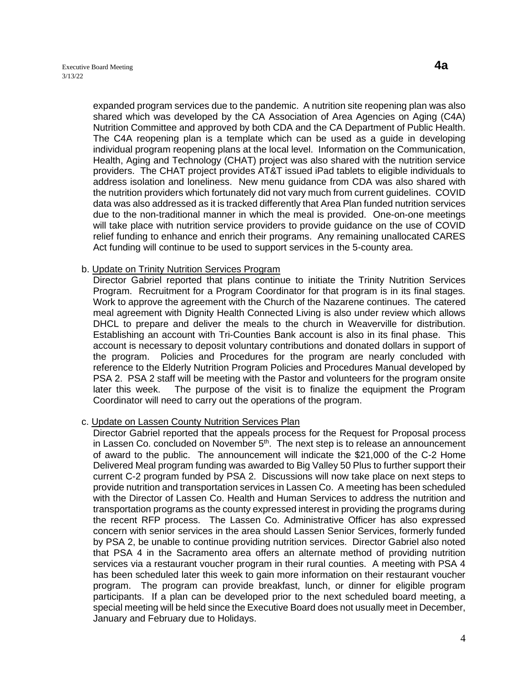expanded program services due to the pandemic. A nutrition site reopening plan was also shared which was developed by the CA Association of Area Agencies on Aging (C4A) Nutrition Committee and approved by both CDA and the CA Department of Public Health. The C4A reopening plan is a template which can be used as a guide in developing individual program reopening plans at the local level. Information on the Communication, Health, Aging and Technology (CHAT) project was also shared with the nutrition service providers. The CHAT project provides AT&T issued iPad tablets to eligible individuals to address isolation and loneliness. New menu guidance from CDA was also shared with the nutrition providers which fortunately did not vary much from current guidelines. COVID data was also addressed as it is tracked differently that Area Plan funded nutrition services due to the non-traditional manner in which the meal is provided. One-on-one meetings will take place with nutrition service providers to provide guidance on the use of COVID relief funding to enhance and enrich their programs. Any remaining unallocated CARES Act funding will continue to be used to support services in the 5-county area.

# b. Update on Trinity Nutrition Services Program

Director Gabriel reported that plans continue to initiate the Trinity Nutrition Services Program. Recruitment for a Program Coordinator for that program is in its final stages. Work to approve the agreement with the Church of the Nazarene continues. The catered meal agreement with Dignity Health Connected Living is also under review which allows DHCL to prepare and deliver the meals to the church in Weaverville for distribution. Establishing an account with Tri-Counties Bank account is also in its final phase. This account is necessary to deposit voluntary contributions and donated dollars in support of the program. Policies and Procedures for the program are nearly concluded with reference to the Elderly Nutrition Program Policies and Procedures Manual developed by PSA 2. PSA 2 staff will be meeting with the Pastor and volunteers for the program onsite later this week. The purpose of the visit is to finalize the equipment the Program Coordinator will need to carry out the operations of the program.

#### c. Update on Lassen County Nutrition Services Plan

Director Gabriel reported that the appeals process for the Request for Proposal process in Lassen Co. concluded on November  $5<sup>th</sup>$ . The next step is to release an announcement of award to the public. The announcement will indicate the \$21,000 of the C-2 Home Delivered Meal program funding was awarded to Big Valley 50 Plus to further support their current C-2 program funded by PSA 2. Discussions will now take place on next steps to provide nutrition and transportation services in Lassen Co. A meeting has been scheduled with the Director of Lassen Co. Health and Human Services to address the nutrition and transportation programs as the county expressed interest in providing the programs during the recent RFP process. The Lassen Co. Administrative Officer has also expressed concern with senior services in the area should Lassen Senior Services, formerly funded by PSA 2, be unable to continue providing nutrition services. Director Gabriel also noted that PSA 4 in the Sacramento area offers an alternate method of providing nutrition services via a restaurant voucher program in their rural counties. A meeting with PSA 4 has been scheduled later this week to gain more information on their restaurant voucher program. The program can provide breakfast, lunch, or dinner for eligible program participants. If a plan can be developed prior to the next scheduled board meeting, a special meeting will be held since the Executive Board does not usually meet in December, January and February due to Holidays.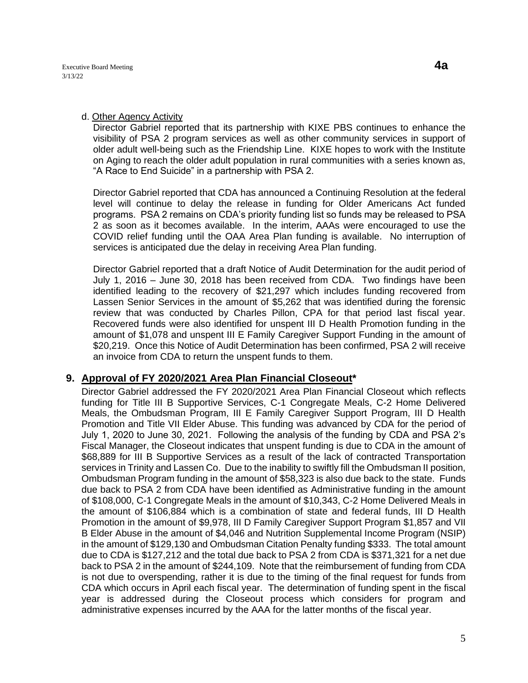#### d. Other Agency Activity

Director Gabriel reported that its partnership with KIXE PBS continues to enhance the visibility of PSA 2 program services as well as other community services in support of older adult well-being such as the Friendship Line. KIXE hopes to work with the Institute on Aging to reach the older adult population in rural communities with a series known as, "A Race to End Suicide" in a partnership with PSA 2.

Director Gabriel reported that CDA has announced a Continuing Resolution at the federal level will continue to delay the release in funding for Older Americans Act funded programs. PSA 2 remains on CDA's priority funding list so funds may be released to PSA 2 as soon as it becomes available. In the interim, AAAs were encouraged to use the COVID relief funding until the OAA Area Plan funding is available. No interruption of services is anticipated due the delay in receiving Area Plan funding.

Director Gabriel reported that a draft Notice of Audit Determination for the audit period of July 1, 2016 – June 30, 2018 has been received from CDA. Two findings have been identified leading to the recovery of \$21,297 which includes funding recovered from Lassen Senior Services in the amount of \$5,262 that was identified during the forensic review that was conducted by Charles Pillon, CPA for that period last fiscal year. Recovered funds were also identified for unspent III D Health Promotion funding in the amount of \$1,078 and unspent III E Family Caregiver Support Funding in the amount of \$20,219. Once this Notice of Audit Determination has been confirmed, PSA 2 will receive an invoice from CDA to return the unspent funds to them.

# **9. Approval of FY 2020/2021 Area Plan Financial Closeout\***

Director Gabriel addressed the FY 2020/2021 Area Plan Financial Closeout which reflects funding for Title III B Supportive Services, C-1 Congregate Meals, C-2 Home Delivered Meals, the Ombudsman Program, III E Family Caregiver Support Program, III D Health Promotion and Title VII Elder Abuse. This funding was advanced by CDA for the period of July 1, 2020 to June 30, 2021. Following the analysis of the funding by CDA and PSA 2's Fiscal Manager, the Closeout indicates that unspent funding is due to CDA in the amount of \$68,889 for III B Supportive Services as a result of the lack of contracted Transportation services in Trinity and Lassen Co. Due to the inability to swiftly fill the Ombudsman II position, Ombudsman Program funding in the amount of \$58,323 is also due back to the state. Funds due back to PSA 2 from CDA have been identified as Administrative funding in the amount of \$108,000, C-1 Congregate Meals in the amount of \$10,343, C-2 Home Delivered Meals in the amount of \$106,884 which is a combination of state and federal funds, III D Health Promotion in the amount of \$9,978, III D Family Caregiver Support Program \$1,857 and VII B Elder Abuse in the amount of \$4,046 and Nutrition Supplemental Income Program (NSIP) in the amount of \$129,130 and Ombudsman Citation Penalty funding \$333. The total amount due to CDA is \$127,212 and the total due back to PSA 2 from CDA is \$371,321 for a net due back to PSA 2 in the amount of \$244,109. Note that the reimbursement of funding from CDA is not due to overspending, rather it is due to the timing of the final request for funds from CDA which occurs in April each fiscal year. The determination of funding spent in the fiscal year is addressed during the Closeout process which considers for program and administrative expenses incurred by the AAA for the latter months of the fiscal year.